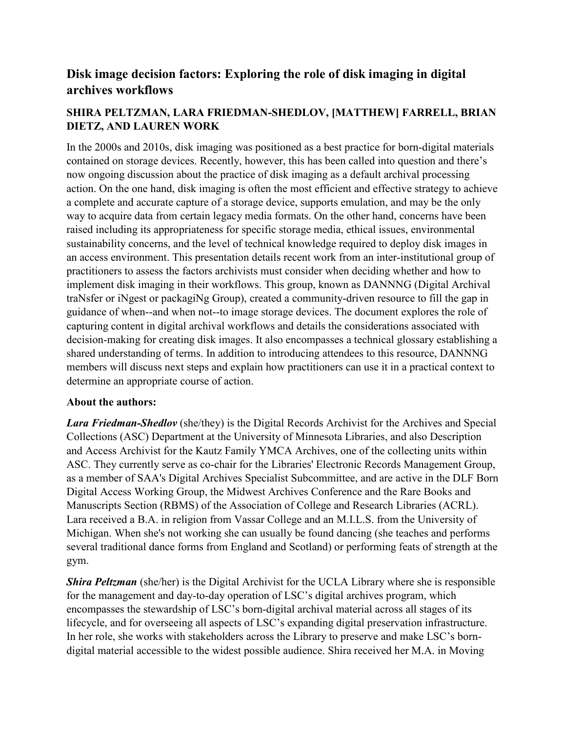## **Disk image decision factors: Exploring the role of disk imaging in digital archives workflows**

## **SHIRA PELTZMAN, LARA FRIEDMAN-SHEDLOV, [MATTHEW] FARRELL, BRIAN DIETZ, AND LAUREN WORK**

In the 2000s and 2010s, disk imaging was positioned as a best practice for born-digital materials contained on storage devices. Recently, however, this has been called into question and there's now ongoing discussion about the practice of disk imaging as a default archival processing action. On the one hand, disk imaging is often the most efficient and effective strategy to achieve a complete and accurate capture of a storage device, supports emulation, and may be the only way to acquire data from certain legacy media formats. On the other hand, concerns have been raised including its appropriateness for specific storage media, ethical issues, environmental sustainability concerns, and the level of technical knowledge required to deploy disk images in an access environment. This presentation details recent work from an inter-institutional group of practitioners to assess the factors archivists must consider when deciding whether and how to implement disk imaging in their workflows. This group, known as DANNNG (Digital Archival traNsfer or iNgest or packagiNg Group), created a community-driven resource to fill the gap in guidance of when--and when not--to image storage devices. The document explores the role of capturing content in digital archival workflows and details the considerations associated with decision-making for creating disk images. It also encompasses a technical glossary establishing a shared understanding of terms. In addition to introducing attendees to this resource, DANNNG members will discuss next steps and explain how practitioners can use it in a practical context to determine an appropriate course of action.

## **About the authors:**

*Lara Friedman-Shedlov* (she/they) is the Digital Records Archivist for the Archives and Special Collections (ASC) Department at the University of Minnesota Libraries, and also Description and Access Archivist for the Kautz Family YMCA Archives, one of the collecting units within ASC. They currently serve as co-chair for the Libraries' Electronic Records Management Group, as a member of SAA's Digital Archives Specialist Subcommittee, and are active in the DLF Born Digital Access Working Group, the Midwest Archives Conference and the Rare Books and Manuscripts Section (RBMS) of the Association of College and Research Libraries (ACRL). Lara received a B.A. in religion from Vassar College and an M.I.L.S. from the University of Michigan. When she's not working she can usually be found dancing (she teaches and performs several traditional dance forms from England and Scotland) or performing feats of strength at the gym.

*Shira Peltzman* (she/her) is the Digital Archivist for the UCLA Library where she is responsible for the management and day-to-day operation of LSC's digital archives program, which encompasses the stewardship of LSC's born-digital archival material across all stages of its lifecycle, and for overseeing all aspects of LSC's expanding digital preservation infrastructure. In her role, she works with stakeholders across the Library to preserve and make LSC's borndigital material accessible to the widest possible audience. Shira received her M.A. in Moving